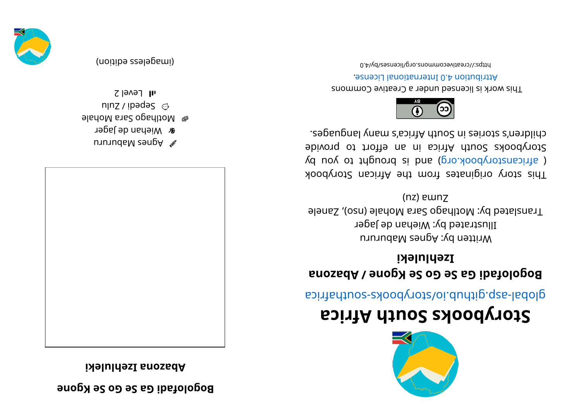## **enogK eS oGeS aGi daf ol ogoB**

**i kel ul hezI anozabA**



- unuudaM zangA  $\mathscr N$
- *a* Miehan de Jager
- el Motlhago Sara Mohale
- n|nz / ibədə $S \text{ } \odot$  $\overline{1}$ l Level 2

(imageless eqition)



## **storybooks South Africa**

aci ri re abological anti-

## **Bogolofabi Ga Se Go Se Kgone / Abazona i kel ul hezI**

Written by: Agnes Mabururu Illustrated by: Wiehan de Jager Franslated by: Motihago Sara Mohale (nso), Zanele (nz) ewnz

This story originates from the African Storybook  $\chi$ d uoy ot triguor b si bna (pro. koobyr or by storybooks South Africa in an effort to provide . segaugnal ynam a' soint A trica's ny anglet.



This work is licensed under a Creative Commons . esnecial lanoit annul 0.4 noit udint A

0. Algorivecommons.org/licenses/by/4.0

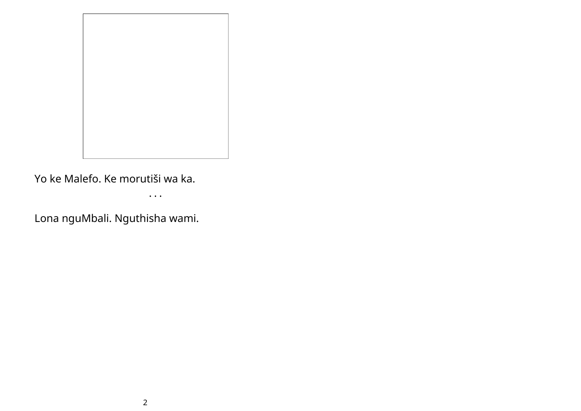

Yo ke Malefo. Ke morutiši wa ka.

• • •

Lona nguMbali. Nguthisha wami.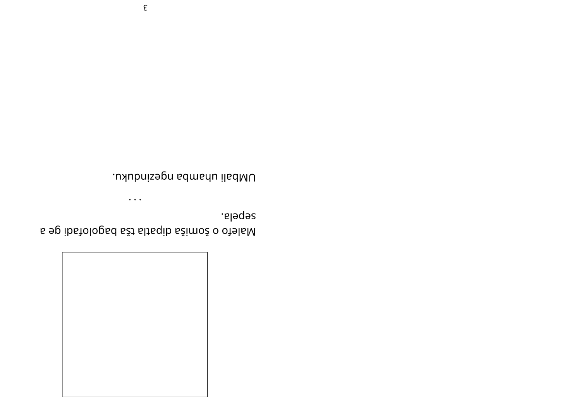

sebela. s ep ibstolopsd sži slisqib sžimož o otelsM

 $\dddot{\bullet}$  .

UMbali uhamba ngezinduku.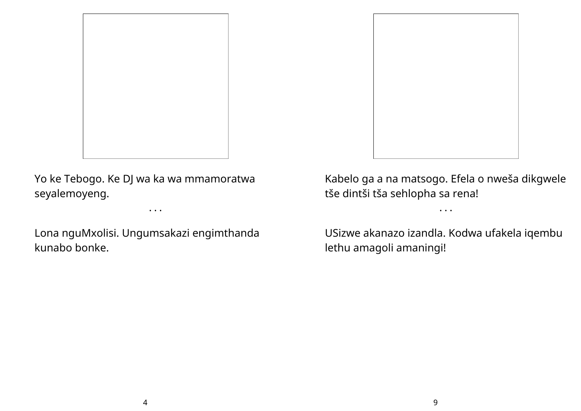

Yo ke Tebogo. Ke DJ wa ka wa mmamoratwa seyalemoyeng.

Lona nguMxolisi. Ungumsakazi engimthanda kunabo bonke.

• • •



Kabelo ga a na matsogo. Efela o nweša dikgwele tše dintši tša sehlopha sa rena!

• • •

USizwe akanazo izandla. Kodwa ufakela iqembu lethu amagoli amaningi!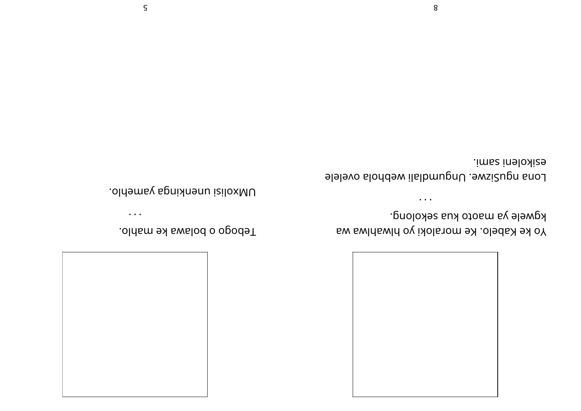

kgwele ya maoto kua sekolong. Yo ke Kabelo. Ke moraloki yo hlwahlwa wa

esikoleni sami. Lona ngusizwe. Ungumdlali webhola ovelele

 $\bullet\hspace{0.4mm}\bullet\hspace{0.4mm}\bullet\hspace{0.4mm}\bullet\hspace{0.4mm}$ 

.oldsm exalodo o opodeT

 $\bullet\,\bullet\,\bullet$ 

UMxolisi unenkinga yamehlo.